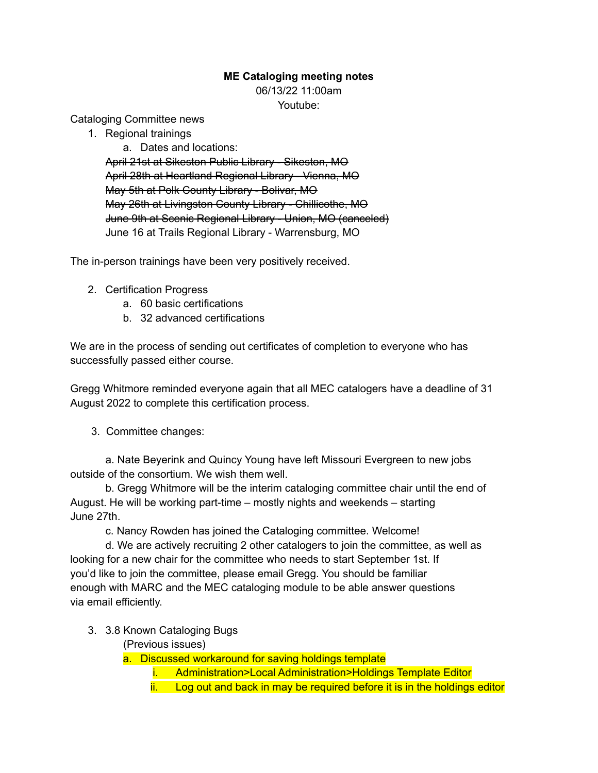## **ME Cataloging meeting notes**

06/13/22 11:00am

Youtube:

Cataloging Committee news

1. Regional trainings

a. Dates and locations: April 21st at Sikeston Public Library - Sikeston, MO April 28th at Heartland Regional Library - Vienna, MO May 5th at Polk County Library - Bolivar, MO May 26th at Livingston County Library - Chillicothe, MO June 9th at Scenic Regional Library - Union, MO (canceled) June 16 at Trails Regional Library - Warrensburg, MO

The in-person trainings have been very positively received.

- 2. Certification Progress
	- a. 60 basic certifications
	- b. 32 advanced certifications

We are in the process of sending out certificates of completion to everyone who has successfully passed either course.

Gregg Whitmore reminded everyone again that all MEC catalogers have a deadline of 31 August 2022 to complete this certification process.

3. Committee changes:

a. Nate Beyerink and Quincy Young have left Missouri Evergreen to new jobs outside of the consortium. We wish them well.

b. Gregg Whitmore will be the interim cataloging committee chair until the end of August. He will be working part-time – mostly nights and weekends – starting June 27th.

c. Nancy Rowden has joined the Cataloging committee. Welcome!

d. We are actively recruiting 2 other catalogers to join the committee, as well as looking for a new chair for the committee who needs to start September 1st. If you'd like to join the committee, please email Gregg. You should be familiar enough with MARC and the MEC cataloging module to be able answer questions via email efficiently.

- 3. 3.8 Known Cataloging Bugs
	- (Previous issues)

a. Discussed workaround for saving holdings template

- i. Administration>Local Administration>Holdings Template Editor
- ii. Log out and back in may be required before it is in the holdings editor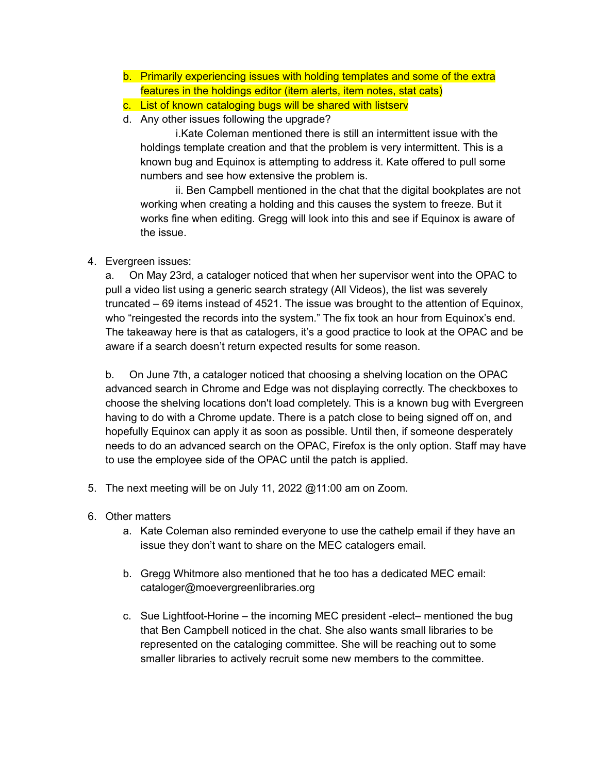- b. Primarily experiencing issues with holding templates and some of the extra features in the holdings editor (item alerts, item notes, stat cats)
- c. List of known cataloging bugs will be shared with listserv
- d. Any other issues following the upgrade?

i.Kate Coleman mentioned there is still an intermittent issue with the holdings template creation and that the problem is very intermittent. This is a known bug and Equinox is attempting to address it. Kate offered to pull some numbers and see how extensive the problem is.

ii. Ben Campbell mentioned in the chat that the digital bookplates are not working when creating a holding and this causes the system to freeze. But it works fine when editing. Gregg will look into this and see if Equinox is aware of the issue.

## 4. Evergreen issues:

a. On May 23rd, a cataloger noticed that when her supervisor went into the OPAC to pull a video list using a generic search strategy (All Videos), the list was severely truncated – 69 items instead of 4521. The issue was brought to the attention of Equinox, who "reingested the records into the system." The fix took an hour from Equinox's end. The takeaway here is that as catalogers, it's a good practice to look at the OPAC and be aware if a search doesn't return expected results for some reason.

b. On June 7th, a cataloger noticed that choosing a shelving location on the OPAC advanced search in Chrome and Edge was not displaying correctly. The checkboxes to choose the shelving locations don't load completely. This is a known bug with Evergreen having to do with a Chrome update. There is a patch close to being signed off on, and hopefully Equinox can apply it as soon as possible. Until then, if someone desperately needs to do an advanced search on the OPAC, Firefox is the only option. Staff may have to use the employee side of the OPAC until the patch is applied.

- 5. The next meeting will be on July 11, 2022 @11:00 am on Zoom.
- 6. Other matters
	- a. Kate Coleman also reminded everyone to use the cathelp email if they have an issue they don't want to share on the MEC catalogers email.
	- b. Gregg Whitmore also mentioned that he too has a dedicated MEC email: cataloger@moevergreenlibraries.org
	- c. Sue Lightfoot-Horine the incoming MEC president -elect– mentioned the bug that Ben Campbell noticed in the chat. She also wants small libraries to be represented on the cataloging committee. She will be reaching out to some smaller libraries to actively recruit some new members to the committee.